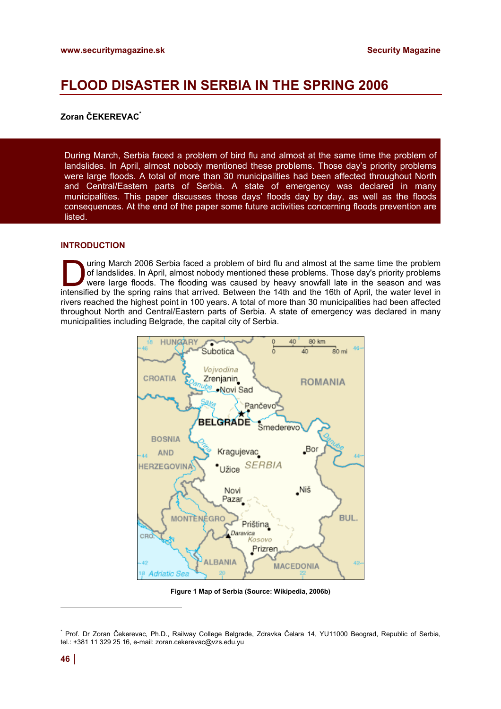# **FLOOD DISASTER IN SERBIA IN THE SPRING 2006**

# **Zoran ČEKEREVAC\***

During March, Serbia faced a problem of bird flu and almost at the same time the problem of landslides. In April, almost nobody mentioned these problems. Those day's priority problems were large floods. A total of more than 30 municipalities had been affected throughout North and Central/Eastern parts of Serbia. A state of emergency was declared in many municipalities. This paper discusses those days' floods day by day, as well as the floods consequences. At the end of the paper some future activities concerning floods prevention are listed.

# **INTRODUCTION**

uring March 2006 Serbia faced a problem of bird flu and almost at the same time the problem of landslides. In April, almost nobody mentioned these problems. Those day's priority problems were large floods. The flooding was caused by heavy snowfall late in the season and was intensified by the spring rains that arrived. Between the 14th and the 16th of April, the water level in rivers reached the highest point in 100 years. A total of more than 30 municipalities had been affected throughout North and Central/Eastern parts of Serbia. A state of emergency was declared in many municipalities including Belgrade, the capital city of Serbia.



**Figure 1 Map of Serbia (Source: Wikipedia, 2006b)** 

l

<sup>\*</sup> Prof. Dr Zoran Čekerevac, Ph.D., Railway College Belgrade, Zdravka Čelara 14, YU11000 Beograd, Republic of Serbia, tel.: +381 11 329 25 16, e-mail: [zoran.cekerevac@vzs.edu.yu](mailto:zoran.cekerevac@vzs.edu.yu)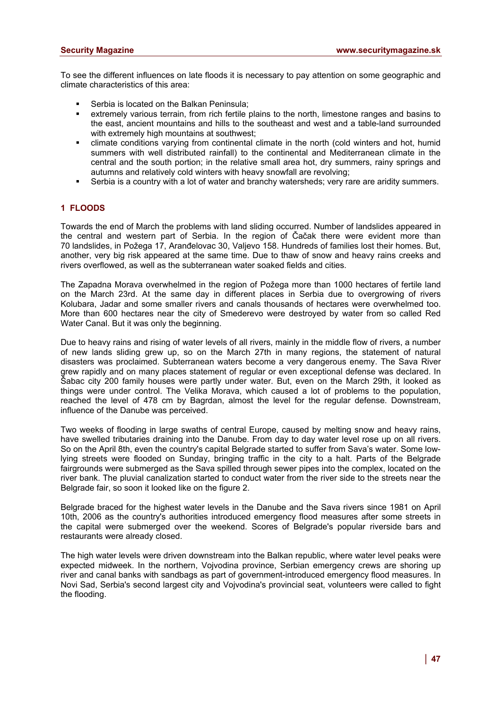To see the different influences on late floods it is necessary to pay attention on some geographic and climate characteristics of this area:

- ß Serbia is located on the Balkan Peninsula;
- extremely various terrain, from rich fertile plains to the north, limestone ranges and basins to the east, ancient mountains and hills to the southeast and west and a table-land surrounded with extremely high mountains at southwest;
- ß climate conditions varying from continental climate in the north (cold winters and hot, humid summers with well distributed rainfall) to the continental and Mediterranean climate in the central and the south portion; in the relative small area hot, dry summers, rainy springs and autumns and relatively cold winters with heavy snowfall are revolving;
- ß Serbia is a country with a lot of water and branchy watersheds; very rare are aridity summers.

## **1 FLOODS**

Towards the end of March the problems with land sliding occurred. Number of landslides appeared in the central and western part of Serbia. In the region of Čačak there were evident more than 70 landslides, in Požega 17, Aranđelovac 30, Valjevo 158. Hundreds of families lost their homes. But, another, very big risk appeared at the same time. Due to thaw of snow and heavy rains creeks and rivers overflowed, as well as the subterranean water soaked fields and cities.

The Zapadna Morava overwhelmed in the region of Požega more than 1000 hectares of fertile land on the March 23rd. At the same day in different places in Serbia due to overgrowing of rivers Kolubara, Jadar and some smaller rivers and canals thousands of hectares were overwhelmed too. More than 600 hectares near the city of Smederevo were destroyed by water from so called Red Water Canal. But it was only the beginning.

Due to heavy rains and rising of water levels of all rivers, mainly in the middle flow of rivers, a number of new lands sliding grew up, so on the March 27th in many regions, the statement of natural disasters was proclaimed. Subterranean waters become a very dangerous enemy. The Sava River grew rapidly and on many places statement of regular or even exceptional defense was declared. In Šabac city 200 family houses were partly under water. But, even on the March 29th, it looked as things were under control. The Velika Morava, which caused a lot of problems to the population, reached the level of 478 cm by Bagrdan, almost the level for the regular defense. Downstream, influence of the Danube was perceived.

Two weeks of flooding in large swaths of central Europe, caused by melting snow and heavy rains, have swelled tributaries draining into the Danube. From day to day water level rose up on all rivers. So on the April 8th, even the country's capital Belgrade started to suffer from Sava's water. Some lowlying streets were flooded on Sunday, bringing traffic in the city to a halt. Parts of the Belgrade fairgrounds were submerged as the Sava spilled through sewer pipes into the complex, located on the river bank. The pluvial canalization started to conduct water from the river side to the streets near the Belgrade fair, so soon it looked like on the figure 2.

Belgrade braced for the highest water levels in the Danube and the Sava rivers since 1981 on April 10th, 2006 as the country's authorities introduced emergency flood measures after some streets in the capital were submerged over the weekend. Scores of Belgrade's popular riverside bars and restaurants were already closed.

The high water levels were driven downstream into the Balkan republic, where water level peaks were expected midweek. In the northern, Vojvodina province, Serbian emergency crews are shoring up river and canal banks with sandbags as part of government-introduced emergency flood measures. In Novi Sad, Serbia's second largest city and Vojvodina's provincial seat, volunteers were called to fight the flooding.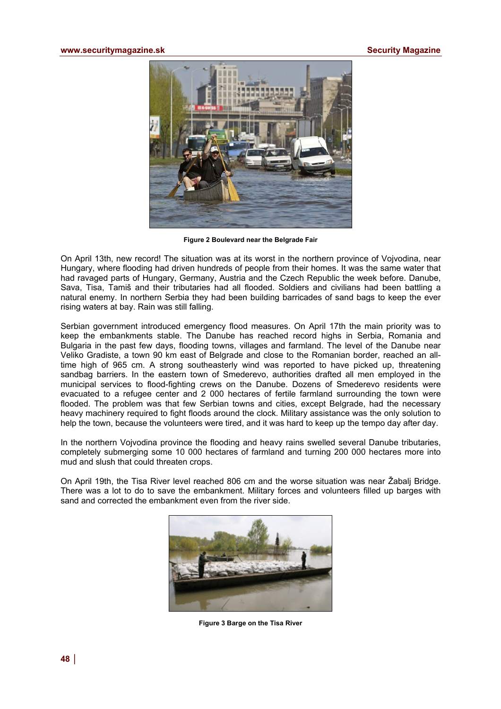

**Figure 2 Boulevard near the Belgrade Fair** 

On April 13th, new record! The situation was at its worst in the northern province of Vojvodina, near Hungary, where flooding had driven hundreds of people from their homes. It was the same water that had ravaged parts of Hungary, Germany, Austria and the Czech Republic the week before. Danube, Sava, Tisa, Tamiš and their tributaries had all flooded. Soldiers and civilians had been battling a natural enemy. In northern Serbia they had been building barricades of sand bags to keep the ever rising waters at bay. Rain was still falling.

Serbian government introduced emergency flood measures. On April 17th the main priority was to keep the embankments stable. The Danube has reached record highs in Serbia, Romania and Bulgaria in the past few days, flooding towns, villages and farmland. The level of the Danube near Veliko Gradiste, a town 90 km east of Belgrade and close to the Romanian border, reached an alltime high of 965 cm. A strong southeasterly wind was reported to have picked up, threatening sandbag barriers. In the eastern town of Smederevo, authorities drafted all men employed in the municipal services to flood-fighting crews on the Danube. Dozens of Smederevo residents were evacuated to a refugee center and 2 000 hectares of fertile farmland surrounding the town were flooded. The problem was that few Serbian towns and cities, except Belgrade, had the necessary heavy machinery required to fight floods around the clock. Military assistance was the only solution to help the town, because the volunteers were tired, and it was hard to keep up the tempo day after day.

In the northern Vojvodina province the flooding and heavy rains swelled several Danube tributaries, completely submerging some 10 000 hectares of farmland and turning 200 000 hectares more into mud and slush that could threaten crops.

On April 19th, the Tisa River level reached 806 cm and the worse situation was near Žabalj Bridge. There was a lot to do to save the embankment. Military forces and volunteers filled up barges with sand and corrected the embankment even from the river side.



**Figure 3 Barge on the Tisa River**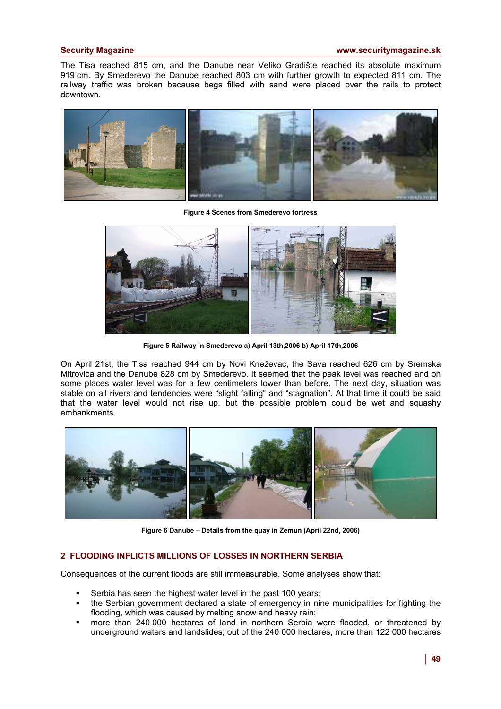## **Security Magazine [www.securitymagazine.sk](http://www.securitymagazine.sk)**

The Tisa reached 815 cm, and the Danube near Veliko Gradište reached its absolute maximum 919 cm. By Smederevo the Danube reached 803 cm with further growth to expected 811 cm. The railway traffic was broken because begs filled with sand were placed over the rails to protect downtown.



**Figure 4 Scenes from Smederevo fortress** 



**Figure 5 Railway in Smederevo a) April 13th,2006 b) April 17th,2006** 

On April 21st, the Tisa reached 944 cm by Novi Kneževac, the Sava reached 626 cm by Sremska Mitrovica and the Danube 828 cm by Smederevo. It seemed that the peak level was reached and on some places water level was for a few centimeters lower than before. The next day, situation was stable on all rivers and tendencies were "slight falling" and "stagnation". At that time it could be said that the water level would not rise up, but the possible problem could be wet and squashy embankments.



**Figure 6 Danube – Details from the quay in Zemun (April 22nd, 2006)** 

# **2 FLOODING INFLICTS MILLIONS OF LOSSES IN NORTHERN SERBIA**

Consequences of the current floods are still immeasurable. Some analyses show that:

- Serbia has seen the highest water level in the past 100 years;
- ß the Serbian government declared a state of emergency in nine municipalities for fighting the flooding, which was caused by melting snow and heavy rain;
- ß more than 240 000 hectares of land in northern Serbia were flooded, or threatened by underground waters and landslides; out of the 240 000 hectares, more than 122 000 hectares